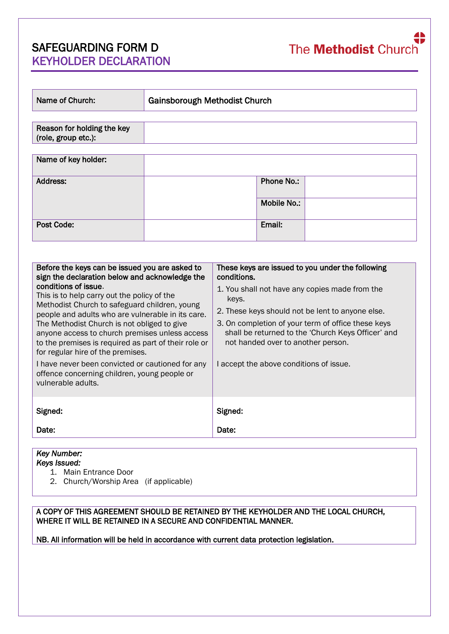# SAFEGUARDING FORM D KEYHOLDER DECLARATION

| Name of Church:                                   | Gainsborough Methodist Church |             |  |
|---------------------------------------------------|-------------------------------|-------------|--|
|                                                   |                               |             |  |
| Reason for holding the key<br>(role, group etc.): |                               |             |  |
|                                                   |                               |             |  |
| Name of key holder:                               |                               |             |  |
| Address:                                          |                               | Phone No.:  |  |
|                                                   |                               | Mobile No.: |  |
| Post Code:                                        |                               | Email:      |  |

| Before the keys can be issued you are asked to<br>sign the declaration below and acknowledge the<br>conditions of issue.<br>This is to help carry out the policy of the<br>Methodist Church to safeguard children, young<br>people and adults who are vulnerable in its care.<br>The Methodist Church is not obliged to give<br>anyone access to church premises unless access<br>to the premises is required as part of their role or<br>for regular hire of the premises.<br>I have never been convicted or cautioned for any<br>offence concerning children, young people or<br>vulnerable adults. | These keys are issued to you under the following<br>conditions.<br>1. You shall not have any copies made from the<br>keys.<br>2. These keys should not be lent to anyone else.<br>3. On completion of your term of office these keys<br>shall be returned to the 'Church Keys Officer' and<br>not handed over to another person.<br>I accept the above conditions of issue. |
|-------------------------------------------------------------------------------------------------------------------------------------------------------------------------------------------------------------------------------------------------------------------------------------------------------------------------------------------------------------------------------------------------------------------------------------------------------------------------------------------------------------------------------------------------------------------------------------------------------|-----------------------------------------------------------------------------------------------------------------------------------------------------------------------------------------------------------------------------------------------------------------------------------------------------------------------------------------------------------------------------|
| Signed:                                                                                                                                                                                                                                                                                                                                                                                                                                                                                                                                                                                               | Signed:                                                                                                                                                                                                                                                                                                                                                                     |
| Date:                                                                                                                                                                                                                                                                                                                                                                                                                                                                                                                                                                                                 | Date:                                                                                                                                                                                                                                                                                                                                                                       |

#### *Key Number: Keys Issued:*

- 1. Main Entrance Door
- 2. Church/Worship Area (if applicable)

#### A COPY OF THIS AGREEMENT SHOULD BE RETAINED BY THE KEYHOLDER AND THE LOCAL CHURCH, WHERE IT WILL BE RETAINED IN A SECURE AND CONFIDENTIAL MANNER.

NB. All information will be held in accordance with current data protection legislation.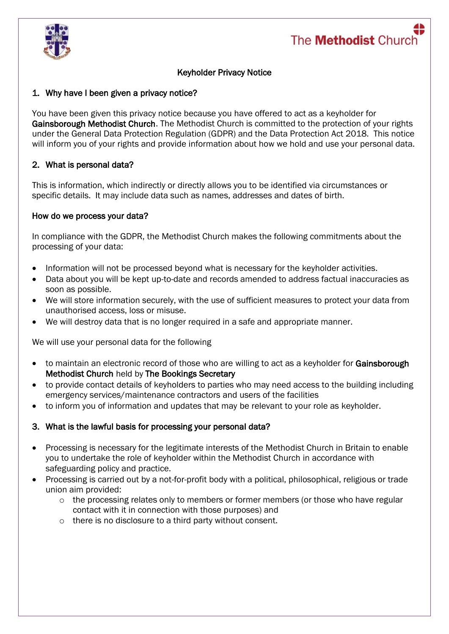

## Keyholder Privacy Notice

### 1. Why have I been given a privacy notice?

You have been given this privacy notice because you have offered to act as a keyholder for Gainsborough Methodist Church. The Methodist Church is committed to the protection of your rights under the General Data Protection Regulation (GDPR) and the Data Protection Act 2018. This notice will inform you of your rights and provide information about how we hold and use your personal data.

### 2. What is personal data?

This is information, which indirectly or directly allows you to be identified via circumstances or specific details. It may include data such as names, addresses and dates of birth.

#### How do we process your data?

In compliance with the GDPR, the Methodist Church makes the following commitments about the processing of your data:

- Information will not be processed beyond what is necessary for the keyholder activities.
- Data about you will be kept up-to-date and records amended to address factual inaccuracies as soon as possible.
- We will store information securely, with the use of sufficient measures to protect your data from unauthorised access, loss or misuse.
- We will destroy data that is no longer required in a safe and appropriate manner.

We will use your personal data for the following

- to maintain an electronic record of those who are willing to act as a keyholder for Gainsborough Methodist Church held by The Bookings Secretary
- to provide contact details of keyholders to parties who may need access to the building including emergency services/maintenance contractors and users of the facilities
- to inform you of information and updates that may be relevant to your role as keyholder.

#### 3. What is the lawful basis for processing your personal data?

- Processing is necessary for the legitimate interests of the Methodist Church in Britain to enable you to undertake the role of keyholder within the Methodist Church in accordance with safeguarding policy and practice.
- Processing is carried out by a not-for-profit body with a political, philosophical, religious or trade union aim provided:
	- $\circ$  the processing relates only to members or former members (or those who have regular contact with it in connection with those purposes) and
	- o there is no disclosure to a third party without consent.